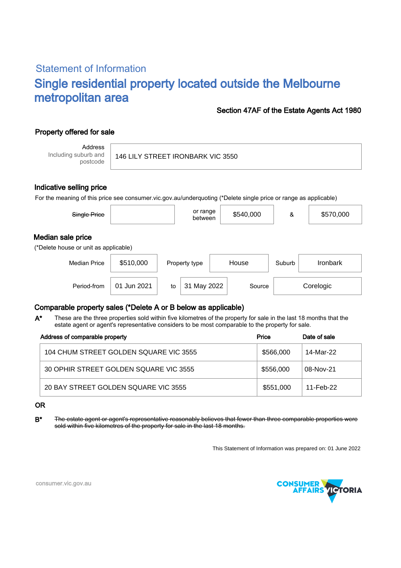# Statement of Information Single residential property located outside the Melbourne metropolitan area

#### Section 47AF of the Estate Agents Act 1980

## Property offered for sale

Address Including suburb and postcode

146 LILY STREET IRONBARK VIC 3550

#### Indicative selling price

For the meaning of this price see consumer.vic.gov.au/underquoting (\*Delete single price or range as applicable)

| Single Price                                               |             |    | or range<br>between |       | \$540,000 | &      | \$570,000       |
|------------------------------------------------------------|-------------|----|---------------------|-------|-----------|--------|-----------------|
| Median sale price<br>(*Delete house or unit as applicable) |             |    |                     |       |           |        |                 |
| <b>Median Price</b>                                        | \$510,000   |    | Property type       | House |           | Suburb | <b>Ironbark</b> |
| Period-from                                                | 01 Jun 2021 | to | 31 May 2022         |       | Source    |        | Corelogic       |

### Comparable property sales (\*Delete A or B below as applicable)

These are the three properties sold within five kilometres of the property for sale in the last 18 months that the estate agent or agent's representative considers to be most comparable to the property for sale. A\*

| Address of comparable property         | Price     | Date of sale |
|----------------------------------------|-----------|--------------|
| 104 CHUM STREET GOLDEN SQUARE VIC 3555 | \$566,000 | 14-Mar-22    |
| 30 OPHIR STREET GOLDEN SQUARE VIC 3555 | \$556,000 | 08-Nov-21    |
| 20 BAY STREET GOLDEN SQUARE VIC 3555   | \$551,000 | 11-Feb-22    |

#### OR

B\* The estate agent or agent's representative reasonably believes that fewer than three comparable properties were sold within five kilometres of the property for sale in the last 18 months.

This Statement of Information was prepared on: 01 June 2022



consumer.vic.gov.au